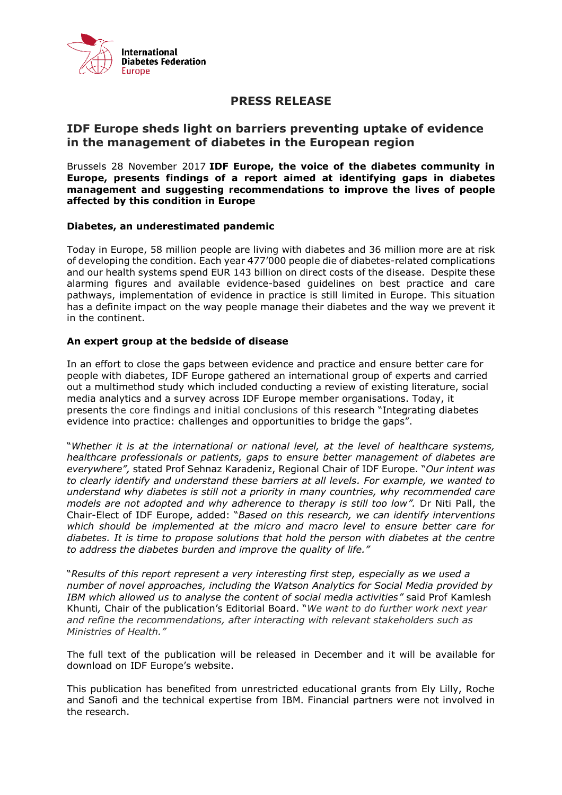

## **PRESS RELEASE**

## **IDF Europe sheds light on barriers preventing uptake of evidence in the management of diabetes in the European region**

Brussels 28 November 2017 **IDF Europe, the voice of the diabetes community in Europe, presents findings of a report aimed at identifying gaps in diabetes management and suggesting recommendations to improve the lives of people affected by this condition in Europe**

## **Diabetes, an underestimated pandemic**

Today in Europe, 58 million people are living with diabetes and 36 million more are at risk of developing the condition. Each year 477'000 people die of diabetes-related complications and our health systems spend EUR 143 billion on direct costs of the disease. Despite these alarming figures and available evidence-based guidelines on best practice and care pathways, implementation of evidence in practice is still limited in Europe. This situation has a definite impact on the way people manage their diabetes and the way we prevent it in the continent.

## **An expert group at the bedside of disease**

In an effort to close the gaps between evidence and practice and ensure better care for people with diabetes, IDF Europe gathered an international group of experts and carried out a multimethod study which included conducting a review of existing literature, social media analytics and a survey across IDF Europe member organisations. Today, it presents the core findings and initial conclusions of this research "Integrating diabetes evidence into practice: challenges and opportunities to bridge the gaps".

"*Whether it is at the international or national level, at the level of healthcare systems, healthcare professionals or patients, gaps to ensure better management of diabetes are everywhere",* stated Prof Sehnaz Karadeniz, Regional Chair of IDF Europe. "*Our intent was to clearly identify and understand these barriers at all levels. For example, we wanted to understand why diabetes is still not a priority in many countries, why recommended care models are not adopted and why adherence to therapy is still too low".* Dr Niti Pall, the Chair-Elect of IDF Europe, added: "*Based on this research, we can identify interventions which should be implemented at the micro and macro level to ensure better care for diabetes. It is time to propose solutions that hold the person with diabetes at the centre to address the diabetes burden and improve the quality of life."*

"*Results of this report represent a very interesting first step, especially as we used a number of novel approaches, including the Watson Analytics for Social Media provided by IBM which allowed us to analyse the content of social media activities"* said Prof Kamlesh Khunti*,* Chair of the publication's Editorial Board. "*We want to do further work next year and refine the recommendations, after interacting with relevant stakeholders such as Ministries of Health."*

The full text of the publication will be released in December and it will be available for download on IDF Europe's website.

This publication has benefited from unrestricted educational grants from Ely Lilly, Roche and Sanofi and the technical expertise from IBM. Financial partners were not involved in the research.